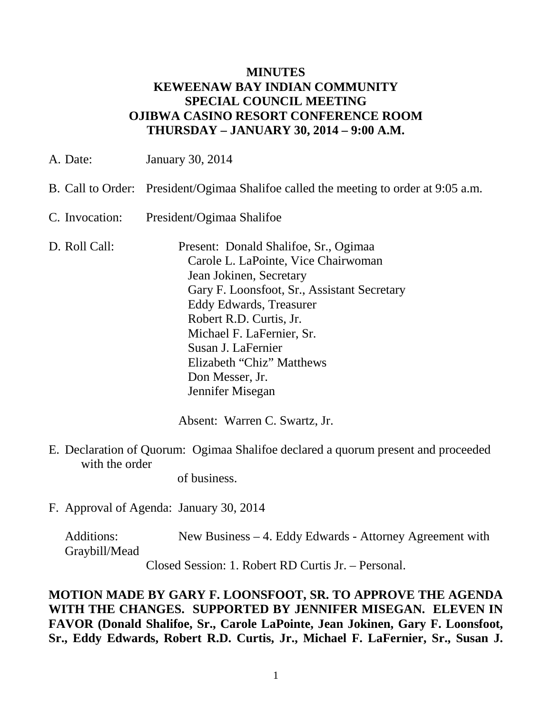## **MINUTES KEWEENAW BAY INDIAN COMMUNITY SPECIAL COUNCIL MEETING OJIBWA CASINO RESORT CONFERENCE ROOM THURSDAY – JANUARY 30, 2014 – 9:00 A.M.**

| A. Date:       | <b>January 30, 2014</b>                                                                                                                                                                                                                                                                                                                    |
|----------------|--------------------------------------------------------------------------------------------------------------------------------------------------------------------------------------------------------------------------------------------------------------------------------------------------------------------------------------------|
|                | B. Call to Order: President/Ogimaa Shalifoe called the meeting to order at 9:05 a.m.                                                                                                                                                                                                                                                       |
| C. Invocation: | President/Ogimaa Shalifoe                                                                                                                                                                                                                                                                                                                  |
| D. Roll Call:  | Present: Donald Shalifoe, Sr., Ogimaa<br>Carole L. LaPointe, Vice Chairwoman<br>Jean Jokinen, Secretary<br>Gary F. Loonsfoot, Sr., Assistant Secretary<br><b>Eddy Edwards, Treasurer</b><br>Robert R.D. Curtis, Jr.<br>Michael F. LaFernier, Sr.<br>Susan J. LaFernier<br>Elizabeth "Chiz" Matthews<br>Don Messer, Jr.<br>Jennifer Misegan |

Absent: Warren C. Swartz, Jr.

E. Declaration of Quorum: Ogimaa Shalifoe declared a quorum present and proceeded with the order

of business.

F. Approval of Agenda: January 30, 2014

Additions: New Business - 4. Eddy Edwards - Attorney Agreement with Graybill/Mead

Closed Session: 1. Robert RD Curtis Jr. – Personal.

**MOTION MADE BY GARY F. LOONSFOOT, SR. TO APPROVE THE AGENDA WITH THE CHANGES. SUPPORTED BY JENNIFER MISEGAN. ELEVEN IN FAVOR (Donald Shalifoe, Sr., Carole LaPointe, Jean Jokinen, Gary F. Loonsfoot, Sr., Eddy Edwards, Robert R.D. Curtis, Jr., Michael F. LaFernier, Sr., Susan J.**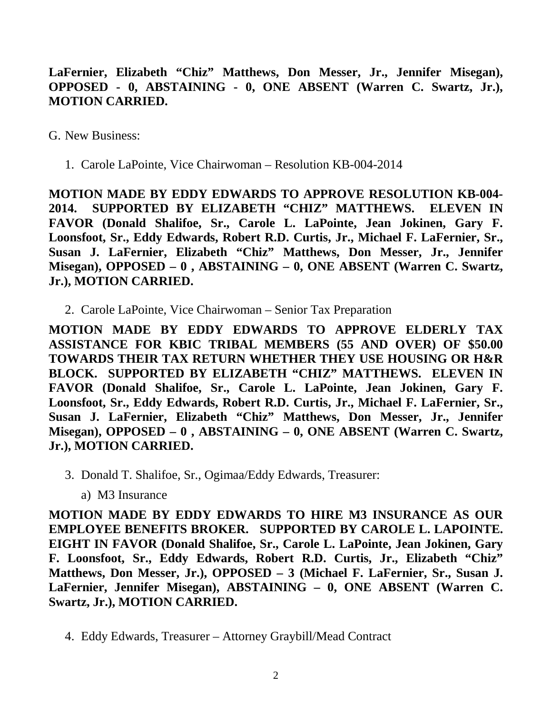**LaFernier, Elizabeth "Chiz" Matthews, Don Messer, Jr., Jennifer Misegan), OPPOSED - 0, ABSTAINING - 0, ONE ABSENT (Warren C. Swartz, Jr.), MOTION CARRIED.**

G. New Business:

1. Carole LaPointe, Vice Chairwoman – Resolution KB-004-2014

**MOTION MADE BY EDDY EDWARDS TO APPROVE RESOLUTION KB-004- 2014. SUPPORTED BY ELIZABETH "CHIZ" MATTHEWS. ELEVEN IN FAVOR (Donald Shalifoe, Sr., Carole L. LaPointe, Jean Jokinen, Gary F. Loonsfoot, Sr., Eddy Edwards, Robert R.D. Curtis, Jr., Michael F. LaFernier, Sr., Susan J. LaFernier, Elizabeth "Chiz" Matthews, Don Messer, Jr., Jennifer Misegan), OPPOSED – 0 , ABSTAINING – 0, ONE ABSENT (Warren C. Swartz, Jr.), MOTION CARRIED.**

2. Carole LaPointe, Vice Chairwoman – Senior Tax Preparation

**MOTION MADE BY EDDY EDWARDS TO APPROVE ELDERLY TAX ASSISTANCE FOR KBIC TRIBAL MEMBERS (55 AND OVER) OF \$50.00 TOWARDS THEIR TAX RETURN WHETHER THEY USE HOUSING OR H&R BLOCK. SUPPORTED BY ELIZABETH "CHIZ" MATTHEWS. ELEVEN IN FAVOR (Donald Shalifoe, Sr., Carole L. LaPointe, Jean Jokinen, Gary F. Loonsfoot, Sr., Eddy Edwards, Robert R.D. Curtis, Jr., Michael F. LaFernier, Sr., Susan J. LaFernier, Elizabeth "Chiz" Matthews, Don Messer, Jr., Jennifer Misegan), OPPOSED – 0 , ABSTAINING – 0, ONE ABSENT (Warren C. Swartz, Jr.), MOTION CARRIED.**

- 3. Donald T. Shalifoe, Sr., Ogimaa/Eddy Edwards, Treasurer:
	- a) M3 Insurance

**MOTION MADE BY EDDY EDWARDS TO HIRE M3 INSURANCE AS OUR EMPLOYEE BENEFITS BROKER. SUPPORTED BY CAROLE L. LAPOINTE. EIGHT IN FAVOR (Donald Shalifoe, Sr., Carole L. LaPointe, Jean Jokinen, Gary F. Loonsfoot, Sr., Eddy Edwards, Robert R.D. Curtis, Jr., Elizabeth "Chiz" Matthews, Don Messer, Jr.), OPPOSED – 3 (Michael F. LaFernier, Sr., Susan J. LaFernier, Jennifer Misegan), ABSTAINING – 0, ONE ABSENT (Warren C. Swartz, Jr.), MOTION CARRIED.**

4. Eddy Edwards, Treasurer – Attorney Graybill/Mead Contract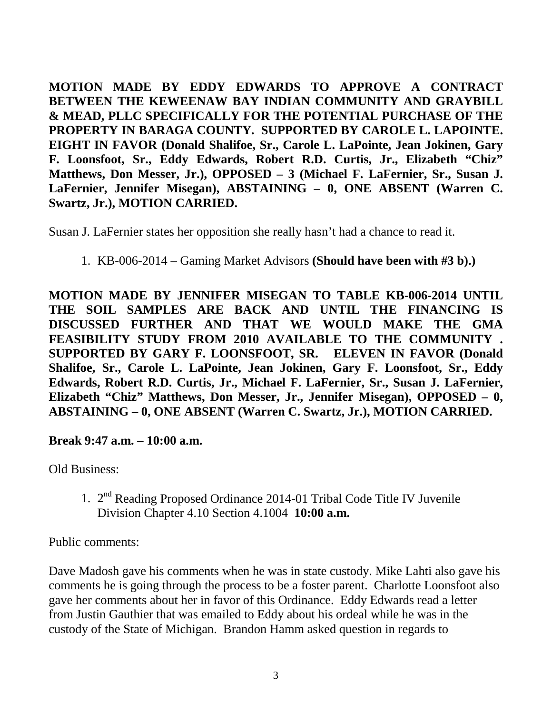**MOTION MADE BY EDDY EDWARDS TO APPROVE A CONTRACT BETWEEN THE KEWEENAW BAY INDIAN COMMUNITY AND GRAYBILL & MEAD, PLLC SPECIFICALLY FOR THE POTENTIAL PURCHASE OF THE PROPERTY IN BARAGA COUNTY. SUPPORTED BY CAROLE L. LAPOINTE. EIGHT IN FAVOR (Donald Shalifoe, Sr., Carole L. LaPointe, Jean Jokinen, Gary F. Loonsfoot, Sr., Eddy Edwards, Robert R.D. Curtis, Jr., Elizabeth "Chiz" Matthews, Don Messer, Jr.), OPPOSED – 3 (Michael F. LaFernier, Sr., Susan J. LaFernier, Jennifer Misegan), ABSTAINING – 0, ONE ABSENT (Warren C. Swartz, Jr.), MOTION CARRIED.**

Susan J. LaFernier states her opposition she really hasn't had a chance to read it.

## 1. KB-006-2014 – Gaming Market Advisors **(Should have been with #3 b).)**

**MOTION MADE BY JENNIFER MISEGAN TO TABLE KB-006-2014 UNTIL THE SOIL SAMPLES ARE BACK AND UNTIL THE FINANCING IS DISCUSSED FURTHER AND THAT WE WOULD MAKE THE GMA FEASIBILITY STUDY FROM 2010 AVAILABLE TO THE COMMUNITY . SUPPORTED BY GARY F. LOONSFOOT, SR. ELEVEN IN FAVOR (Donald Shalifoe, Sr., Carole L. LaPointe, Jean Jokinen, Gary F. Loonsfoot, Sr., Eddy Edwards, Robert R.D. Curtis, Jr., Michael F. LaFernier, Sr., Susan J. LaFernier, Elizabeth "Chiz" Matthews, Don Messer, Jr., Jennifer Misegan), OPPOSED – 0, ABSTAINING – 0, ONE ABSENT (Warren C. Swartz, Jr.), MOTION CARRIED.**

**Break 9:47 a.m. – 10:00 a.m.**

Old Business:

1. 2nd Reading Proposed Ordinance 2014-01 Tribal Code Title IV Juvenile Division Chapter 4.10 Section 4.1004 **10:00 a.m.**

Public comments:

Dave Madosh gave his comments when he was in state custody. Mike Lahti also gave his comments he is going through the process to be a foster parent. Charlotte Loonsfoot also gave her comments about her in favor of this Ordinance. Eddy Edwards read a letter from Justin Gauthier that was emailed to Eddy about his ordeal while he was in the custody of the State of Michigan. Brandon Hamm asked question in regards to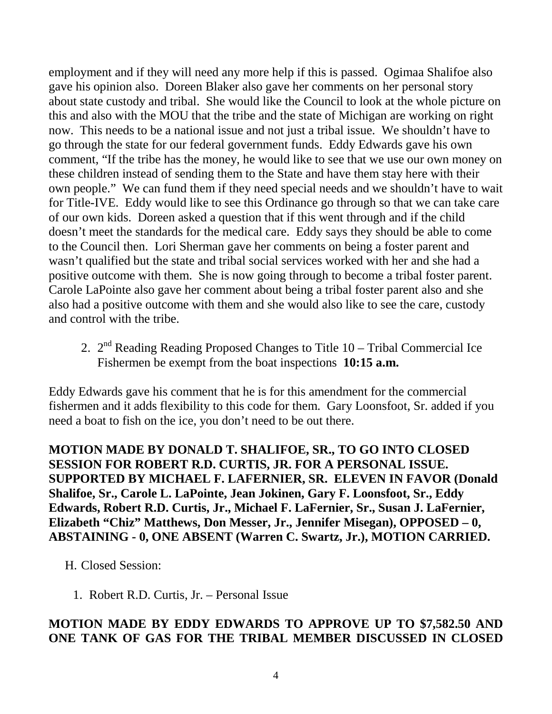employment and if they will need any more help if this is passed. Ogimaa Shalifoe also gave his opinion also. Doreen Blaker also gave her comments on her personal story about state custody and tribal. She would like the Council to look at the whole picture on this and also with the MOU that the tribe and the state of Michigan are working on right now. This needs to be a national issue and not just a tribal issue. We shouldn't have to go through the state for our federal government funds. Eddy Edwards gave his own comment, "If the tribe has the money, he would like to see that we use our own money on these children instead of sending them to the State and have them stay here with their own people." We can fund them if they need special needs and we shouldn't have to wait for Title-IVE. Eddy would like to see this Ordinance go through so that we can take care of our own kids. Doreen asked a question that if this went through and if the child doesn't meet the standards for the medical care. Eddy says they should be able to come to the Council then. Lori Sherman gave her comments on being a foster parent and wasn't qualified but the state and tribal social services worked with her and she had a positive outcome with them. She is now going through to become a tribal foster parent. Carole LaPointe also gave her comment about being a tribal foster parent also and she also had a positive outcome with them and she would also like to see the care, custody and control with the tribe.

2.  $2^{nd}$  Reading Reading Proposed Changes to Title  $10 -$ Tribal Commercial Ice Fishermen be exempt from the boat inspections **10:15 a.m.**

Eddy Edwards gave his comment that he is for this amendment for the commercial fishermen and it adds flexibility to this code for them. Gary Loonsfoot, Sr. added if you need a boat to fish on the ice, you don't need to be out there.

**MOTION MADE BY DONALD T. SHALIFOE, SR., TO GO INTO CLOSED SESSION FOR ROBERT R.D. CURTIS, JR. FOR A PERSONAL ISSUE. SUPPORTED BY MICHAEL F. LAFERNIER, SR. ELEVEN IN FAVOR (Donald Shalifoe, Sr., Carole L. LaPointe, Jean Jokinen, Gary F. Loonsfoot, Sr., Eddy Edwards, Robert R.D. Curtis, Jr., Michael F. LaFernier, Sr., Susan J. LaFernier, Elizabeth "Chiz" Matthews, Don Messer, Jr., Jennifer Misegan), OPPOSED – 0, ABSTAINING - 0, ONE ABSENT (Warren C. Swartz, Jr.), MOTION CARRIED.**

H. Closed Session:

1. Robert R.D. Curtis, Jr. – Personal Issue

## **MOTION MADE BY EDDY EDWARDS TO APPROVE UP TO \$7,582.50 AND ONE TANK OF GAS FOR THE TRIBAL MEMBER DISCUSSED IN CLOSED**